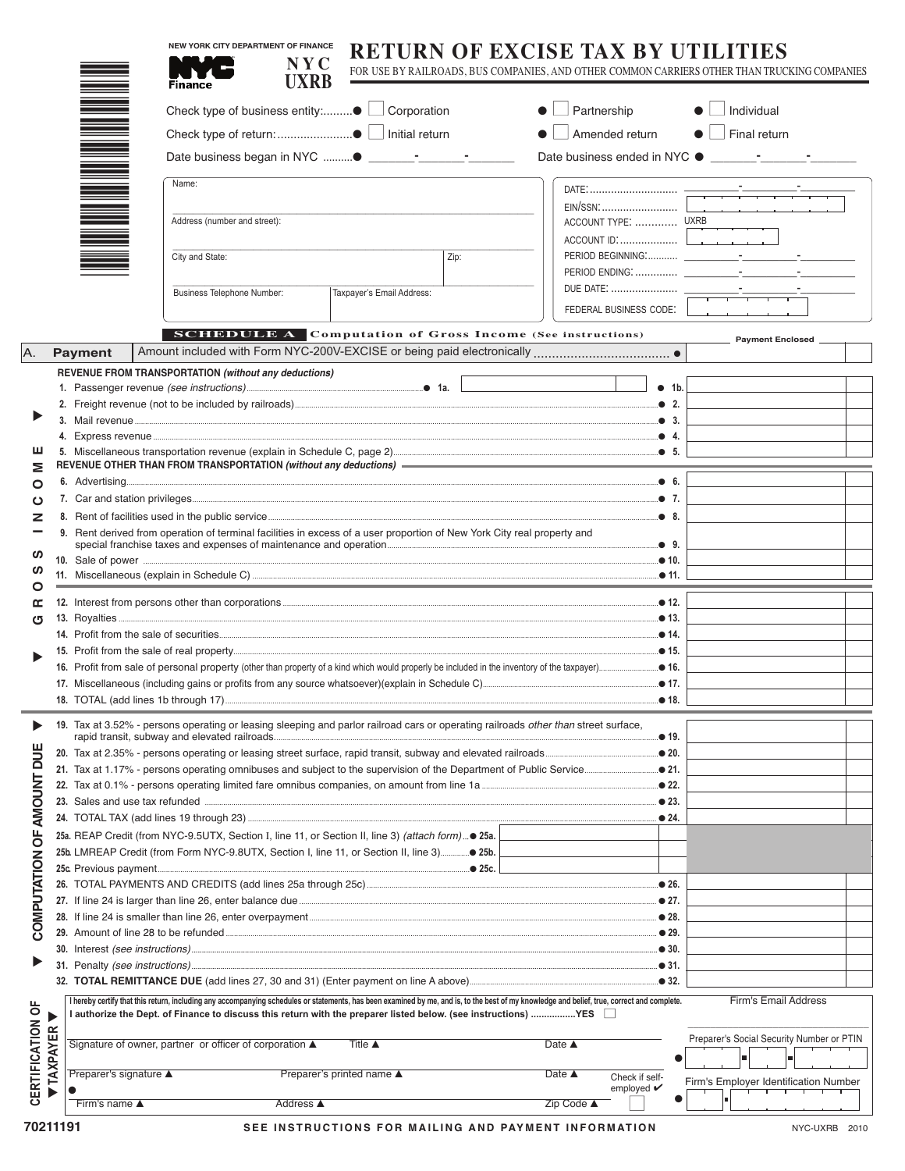|                  |                                                                                                                         |                                                                                                                                                                                             |                              | <b>NEW YORK CITY DEPARTMENT OF FINANCE</b><br>NY <sub>C</sub> | RETURN OF EXCISE TAX BY UTILITI<br>FOR USE BY RAILROADS, BUS COMPANIES, AND OTHER COMMON CARRIERS OTHER THAN TRUCKING COMPANIES     |  |                              |                                                  |       |                                           |  |  |
|------------------|-------------------------------------------------------------------------------------------------------------------------|---------------------------------------------------------------------------------------------------------------------------------------------------------------------------------------------|------------------------------|---------------------------------------------------------------|-------------------------------------------------------------------------------------------------------------------------------------|--|------------------------------|--------------------------------------------------|-------|-------------------------------------------|--|--|
|                  |                                                                                                                         |                                                                                                                                                                                             | Finance                      | <b>UXRB</b>                                                   |                                                                                                                                     |  |                              |                                                  |       |                                           |  |  |
|                  |                                                                                                                         |                                                                                                                                                                                             |                              |                                                               |                                                                                                                                     |  | $\bullet$ $\Box$ Partnership |                                                  |       | $\bullet$<br>$\Box$ Individual            |  |  |
|                  |                                                                                                                         |                                                                                                                                                                                             |                              |                                                               |                                                                                                                                     |  |                              | Amended return                                   |       | $\bullet$<br>Final return                 |  |  |
|                  |                                                                                                                         |                                                                                                                                                                                             |                              |                                                               |                                                                                                                                     |  |                              |                                                  |       |                                           |  |  |
|                  |                                                                                                                         |                                                                                                                                                                                             | Name:                        |                                                               |                                                                                                                                     |  |                              |                                                  |       |                                           |  |  |
|                  |                                                                                                                         |                                                                                                                                                                                             |                              |                                                               |                                                                                                                                     |  |                              |                                                  |       |                                           |  |  |
|                  |                                                                                                                         |                                                                                                                                                                                             | Address (number and street): |                                                               |                                                                                                                                     |  |                              |                                                  |       |                                           |  |  |
|                  |                                                                                                                         |                                                                                                                                                                                             |                              | City and State:<br>Zip:                                       |                                                                                                                                     |  |                              |                                                  |       |                                           |  |  |
|                  |                                                                                                                         |                                                                                                                                                                                             |                              |                                                               |                                                                                                                                     |  |                              |                                                  |       |                                           |  |  |
|                  | Business Telephone Number:<br>Taxpayer's Email Address:                                                                 |                                                                                                                                                                                             |                              |                                                               |                                                                                                                                     |  |                              |                                                  |       |                                           |  |  |
|                  |                                                                                                                         |                                                                                                                                                                                             |                              |                                                               |                                                                                                                                     |  |                              | FEDERAL BUSINESS CODE:                           |       |                                           |  |  |
|                  |                                                                                                                         |                                                                                                                                                                                             |                              |                                                               | <b>SCHEDULE A</b> Computation of Gross Income (See instructions)                                                                    |  |                              |                                                  |       | Payment Enclosed                          |  |  |
| A.               |                                                                                                                         | <b>Payment</b>                                                                                                                                                                              |                              |                                                               |                                                                                                                                     |  |                              |                                                  |       |                                           |  |  |
|                  |                                                                                                                         |                                                                                                                                                                                             |                              | REVENUE FROM TRANSPORTATION (without any deductions)          |                                                                                                                                     |  |                              |                                                  |       |                                           |  |  |
|                  |                                                                                                                         |                                                                                                                                                                                             |                              |                                                               |                                                                                                                                     |  |                              |                                                  | • 1b. |                                           |  |  |
|                  |                                                                                                                         |                                                                                                                                                                                             |                              |                                                               |                                                                                                                                     |  |                              |                                                  |       |                                           |  |  |
|                  |                                                                                                                         |                                                                                                                                                                                             |                              |                                                               |                                                                                                                                     |  |                              |                                                  |       |                                           |  |  |
| ш                |                                                                                                                         |                                                                                                                                                                                             |                              |                                                               |                                                                                                                                     |  |                              |                                                  |       |                                           |  |  |
| Σ<br>O           |                                                                                                                         |                                                                                                                                                                                             |                              |                                                               |                                                                                                                                     |  |                              |                                                  |       |                                           |  |  |
| ပ                |                                                                                                                         |                                                                                                                                                                                             |                              |                                                               |                                                                                                                                     |  |                              |                                                  |       |                                           |  |  |
| z                |                                                                                                                         |                                                                                                                                                                                             |                              |                                                               |                                                                                                                                     |  |                              |                                                  |       |                                           |  |  |
|                  | 9. Rent derived from operation of terminal facilities in excess of a user proportion of New York City real property and |                                                                                                                                                                                             |                              |                                                               |                                                                                                                                     |  |                              |                                                  |       |                                           |  |  |
| ഗ                |                                                                                                                         |                                                                                                                                                                                             |                              |                                                               |                                                                                                                                     |  |                              |                                                  |       |                                           |  |  |
| O                | ഗ                                                                                                                       |                                                                                                                                                                                             |                              |                                                               |                                                                                                                                     |  |                              |                                                  |       |                                           |  |  |
| œ                |                                                                                                                         |                                                                                                                                                                                             |                              |                                                               |                                                                                                                                     |  |                              |                                                  |       |                                           |  |  |
| ৩                |                                                                                                                         |                                                                                                                                                                                             |                              |                                                               |                                                                                                                                     |  |                              |                                                  |       |                                           |  |  |
|                  |                                                                                                                         |                                                                                                                                                                                             |                              |                                                               |                                                                                                                                     |  |                              |                                                  |       |                                           |  |  |
|                  |                                                                                                                         |                                                                                                                                                                                             |                              |                                                               |                                                                                                                                     |  |                              |                                                  |       |                                           |  |  |
|                  |                                                                                                                         |                                                                                                                                                                                             |                              |                                                               |                                                                                                                                     |  |                              |                                                  |       |                                           |  |  |
|                  |                                                                                                                         |                                                                                                                                                                                             |                              |                                                               |                                                                                                                                     |  |                              |                                                  |       |                                           |  |  |
|                  |                                                                                                                         |                                                                                                                                                                                             |                              |                                                               | 19. Tax at 3.52% - persons operating or leasing sleeping and parlor railroad cars or operating railroads other than street surface, |  |                              |                                                  | ● 19. |                                           |  |  |
| DUE              |                                                                                                                         |                                                                                                                                                                                             |                              |                                                               |                                                                                                                                     |  |                              |                                                  |       |                                           |  |  |
|                  |                                                                                                                         |                                                                                                                                                                                             |                              |                                                               |                                                                                                                                     |  |                              |                                                  |       |                                           |  |  |
|                  |                                                                                                                         |                                                                                                                                                                                             |                              |                                                               |                                                                                                                                     |  |                              |                                                  |       |                                           |  |  |
|                  |                                                                                                                         |                                                                                                                                                                                             |                              |                                                               |                                                                                                                                     |  |                              |                                                  |       |                                           |  |  |
| <b>OF AMOUNT</b> |                                                                                                                         |                                                                                                                                                                                             |                              |                                                               | 25a. REAP Credit (from NYC-9.5UTX, Section I, line 11, or Section II, line 3) (attach form) 25a.                                    |  |                              |                                                  |       |                                           |  |  |
|                  |                                                                                                                         |                                                                                                                                                                                             |                              |                                                               |                                                                                                                                     |  |                              |                                                  |       |                                           |  |  |
|                  |                                                                                                                         |                                                                                                                                                                                             |                              |                                                               |                                                                                                                                     |  |                              |                                                  |       |                                           |  |  |
|                  |                                                                                                                         |                                                                                                                                                                                             |                              |                                                               |                                                                                                                                     |  |                              |                                                  |       |                                           |  |  |
| COMPUTATION      |                                                                                                                         |                                                                                                                                                                                             |                              |                                                               |                                                                                                                                     |  |                              |                                                  |       |                                           |  |  |
|                  |                                                                                                                         |                                                                                                                                                                                             |                              |                                                               |                                                                                                                                     |  |                              |                                                  |       |                                           |  |  |
| ▶                |                                                                                                                         |                                                                                                                                                                                             |                              |                                                               |                                                                                                                                     |  |                              |                                                  |       |                                           |  |  |
|                  |                                                                                                                         |                                                                                                                                                                                             |                              |                                                               |                                                                                                                                     |  |                              |                                                  |       |                                           |  |  |
|                  |                                                                                                                         | I hereby certify that this return, including any accompanying schedules or statements, has been examined by me, and is, to the best of my knowledge and belief, true, correct and complete. |                              |                                                               |                                                                                                                                     |  |                              |                                                  |       | Firm's Email Address                      |  |  |
| CERTIFICATION OF |                                                                                                                         |                                                                                                                                                                                             |                              |                                                               | I authorize the Dept. of Finance to discuss this return with the preparer listed below. (see instructions) ………………YES □              |  |                              |                                                  |       |                                           |  |  |
|                  | <b>TAXPAYER</b>                                                                                                         |                                                                                                                                                                                             |                              | Signature of owner, partner or officer of corporation ▲       | Title $\triangle$                                                                                                                   |  | Date $\triangle$             |                                                  |       | Preparer's Social Security Number or PTIN |  |  |
|                  |                                                                                                                         |                                                                                                                                                                                             |                              |                                                               |                                                                                                                                     |  |                              |                                                  |       |                                           |  |  |
|                  |                                                                                                                         | Preparer's signature ▲                                                                                                                                                                      |                              |                                                               | Preparer's printed name ▲                                                                                                           |  | Date $\triangle$             | Check if self-<br>employed $\mathbf{\checkmark}$ |       | Firm's Employer Identification Number     |  |  |
|                  |                                                                                                                         | Firm's name $\blacktriangle$                                                                                                                                                                |                              | Address <b>▲</b>                                              |                                                                                                                                     |  | $Zip Code \triangle$         |                                                  |       |                                           |  |  |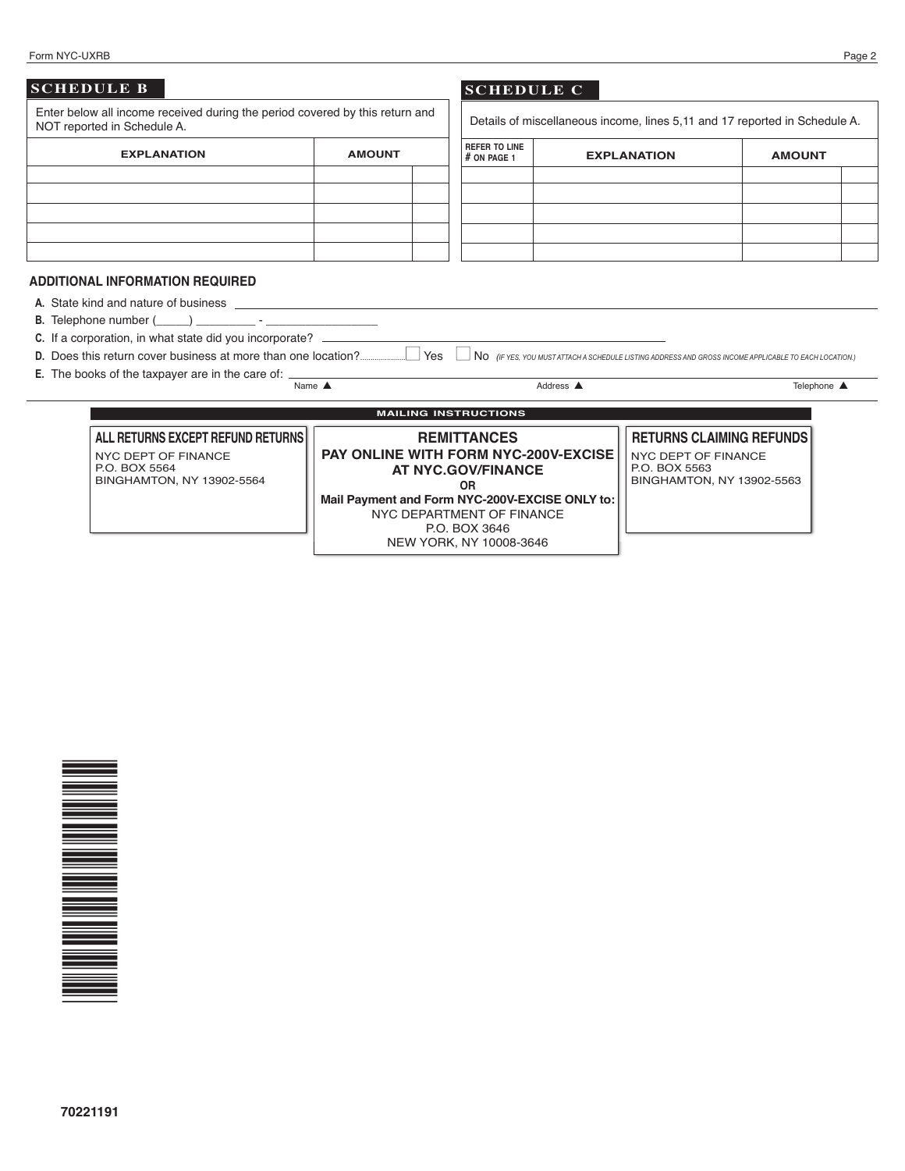|--|

| Form NYC-UXRB               |                                                                                  |                                                |                                       |           |                                                                            |               | Page 2 |
|-----------------------------|----------------------------------------------------------------------------------|------------------------------------------------|---------------------------------------|-----------|----------------------------------------------------------------------------|---------------|--------|
| <b>SCHEDULE B</b>           |                                                                                  |                                                | <b>SCHEDULE C</b>                     |           |                                                                            |               |        |
| NOT reported in Schedule A. | Enter below all income received during the period covered by this return and     |                                                |                                       |           | Details of miscellaneous income, lines 5.11 and 17 reported in Schedule A. |               |        |
|                             | <b>EXPLANATION</b>                                                               | <b>AMOUNT</b>                                  | <b>REFER TO LINE</b><br>$#$ ON PAGE 1 |           | <b>EXPLANATION</b>                                                         | <b>AMOUNT</b> |        |
|                             |                                                                                  |                                                |                                       |           |                                                                            |               |        |
|                             |                                                                                  |                                                |                                       |           |                                                                            |               |        |
|                             |                                                                                  |                                                |                                       |           |                                                                            |               |        |
|                             |                                                                                  |                                                |                                       |           |                                                                            |               |        |
|                             | <b>ADDITIONAL INFORMATION REQUIRED</b>                                           |                                                |                                       |           |                                                                            |               |        |
|                             |                                                                                  |                                                |                                       |           |                                                                            |               |        |
|                             |                                                                                  |                                                |                                       |           |                                                                            |               |        |
|                             | C. If a corporation, in what state did you incorporate? ________________________ |                                                |                                       |           |                                                                            |               |        |
|                             |                                                                                  |                                                |                                       |           |                                                                            |               |        |
|                             | E. The books of the taxpayer are in the care of: _______                         | Name $\triangle$                               |                                       | Address A |                                                                            | Telephone ▲   |        |
|                             |                                                                                  |                                                |                                       |           |                                                                            |               |        |
| <b>MAILING INSTRUCTIONS</b> |                                                                                  |                                                |                                       |           |                                                                            |               |        |
|                             | ALL RETURNS EXCEPT REFUND RETURNS                                                |                                                | <b>REMITTANCES</b>                    |           | <b>RETURNS CLAIMING REFUNDS</b>                                            |               |        |
|                             | <b>NYC DEPT OF FINANCE</b>                                                       | <b>PAY ONLINE WITH FORM NYC-200V-EXCISE</b>    |                                       |           | <b>NYC DEPT OF FINANCE</b>                                                 |               |        |
|                             | P.O. BOX 5564                                                                    | <b>AT NYC.GOV/FINANCE</b>                      |                                       |           | P.O. BOX 5563                                                              |               |        |
| BINGHAMTON, NY 13902-5564   |                                                                                  |                                                | 0 <sub>R</sub>                        |           | BINGHAMTON, NY 13902-5563                                                  |               |        |
|                             |                                                                                  | Mail Payment and Form NYC-200V-EXCISE ONLY to: |                                       |           |                                                                            |               |        |

NYC DEPARTMENT OF FINANCE P.O. BOX 3646 NEW YORK, NY 10008-3646

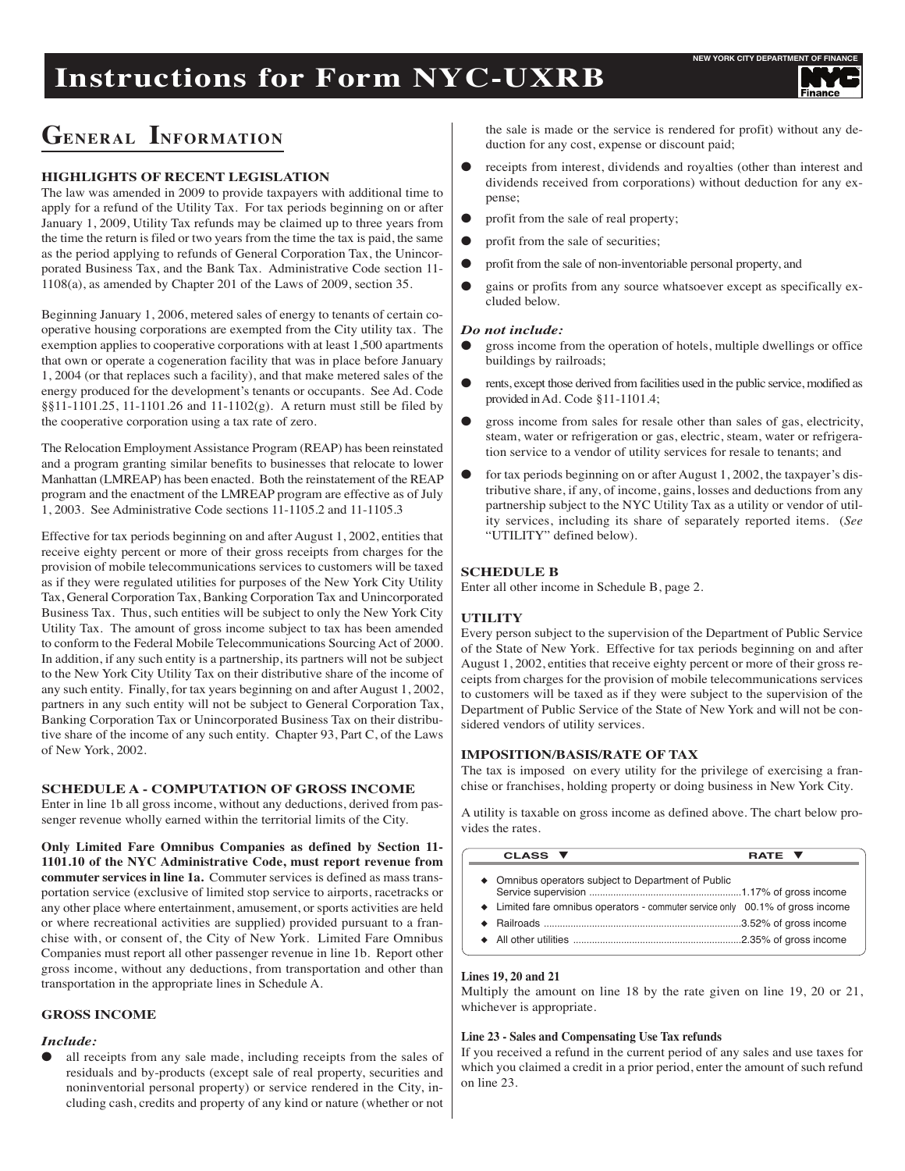# **Instructions for Form NYC-UXRB**

## **GENERAL INFORMATION**

### **HIGHLIGHTS OF RECENT LEGISLATION**

The law was amended in 2009 to provide taxpayers with additional time to apply for a refund of the Utility Tax. For tax periods beginning on or after January 1, 2009, Utility Tax refunds may be claimed up to three years from the time the return is filed or two years from the time the tax is paid, the same as the period applying to refunds of General Corporation Tax, the Unincorporated Business Tax, and the Bank Tax. Administrative Code section 11- 1108(a), as amended by Chapter 201 of the Laws of 2009, section 35.

Beginning January 1, 2006, metered sales of energy to tenants of certain cooperative housing corporations are exempted from the City utility tax. The exemption applies to cooperative corporations with at least 1,500 apartments that own or operate a cogeneration facility that was in place before January 1, 2004 (or that replaces such a facility), and that make metered sales of the energy produced for the development's tenants or occupants. See Ad. Code §§11-1101.25, 11-1101.26 and 11-1102(g). A return must still be filed by the cooperative corporation using a tax rate of zero.

The Relocation Employment Assistance Program (REAP) has been reinstated and a program granting similar benefits to businesses that relocate to lower Manhattan (LMREAP) has been enacted. Both the reinstatement of the REAP program and the enactment of the LMREAP program are effective as of July 1, 2003. See Administrative Code sections 11-1105.2 and 11-1105.3

Effective for tax periods beginning on and after August 1, 2002, entities that receive eighty percent or more of their gross receipts from charges for the provision of mobile telecommunications services to customers will be taxed as if they were regulated utilities for purposes of the New York City Utility Tax, General Corporation Tax, Banking Corporation Tax and Unincorporated Business Tax. Thus, such entities will be subject to only the New York City Utility Tax. The amount of gross income subject to tax has been amended to conform to the Federal Mobile Telecommunications Sourcing Act of 2000. In addition, if any such entity is a partnership, its partners will not be subject to the New York City Utility Tax on their distributive share of the income of any such entity. Finally, for tax years beginning on and after August 1, 2002, partners in any such entity will not be subject to General Corporation Tax, Banking Corporation Tax or Unincorporated Business Tax on their distributive share of the income of any such entity. Chapter 93, Part C, of the Laws of New York, 2002.

#### **SCHEDULE A - COMPUTATION OF GROSS INCOME**

Enter in line 1b all gross income, without any deductions, derived from passenger revenue wholly earned within the territorial limits of the City.

**Only Limited Fare Omnibus Companies as defined by Section 11- 1101.10 of the NYC Administrative Code, must report revenue from commuter services in line 1a.** Commuter services is defined as mass transportation service (exclusive of limited stop service to airports, racetracks or any other place where entertainment, amusement, or sports activities are held or where recreational activities are supplied) provided pursuant to a franchise with, or consent of, the City of New York. Limited Fare Omnibus Companies must report all other passenger revenue in line 1b. Report other gross income, without any deductions, from transportation and other than transportation in the appropriate lines in Schedule A.

#### **GROSS INCOME**

#### *Include:*

all receipts from any sale made, including receipts from the sales of residuals and by-products (except sale of real property, securities and noninventorial personal property) or service rendered in the City, including cash, credits and property of any kind or nature (whether or not the sale is made or the service is rendered for profit) without any deduction for any cost, expense or discount paid;

- receipts from interest, dividends and royalties (other than interest and dividends received from corporations) without deduction for any expense;
- profit from the sale of real property;
- profit from the sale of securities;
- profit from the sale of non-inventoriable personal property, and
- gains or profits from any source whatsoever except as specifically excluded below.

#### *Do not include:*

- **e** gross income from the operation of hotels, multiple dwellings or office buildings by railroads;
- l rents, except those derived from facilities used in the public service, modified as provided inAd. Code §11-1101.4;
- l gross income from sales for resale other than sales of gas, electricity, steam, water or refrigeration or gas, electric, steam, water or refrigeration service to a vendor of utility services for resale to tenants; and
- for tax periods beginning on or after August 1, 2002, the taxpayer's distributive share, if any, of income, gains, losses and deductions from any partnership subject to the NYC Utility Tax as a utility or vendor of utility services, including its share of separately reported items. (*See* "UTILITY" defined below).

#### **SCHEDULE B**

Enter all other income in Schedule B, page 2.

#### **UTILITY**

Every person subject to the supervision of the Department of Public Service of the State of New York. Effective for tax periods beginning on and after August 1, 2002, entities that receive eighty percent or more of their gross receipts from charges for the provision of mobile telecommunications services to customers will be taxed as if they were subject to the supervision of the Department of Public Service of the State of New York and will not be considered vendors of utility services.

#### **IMPOSITION/BASIS/RATE OF TAX**

The tax is imposed on every utility for the privilege of exercising a franchise or franchises, holding property or doing business in New York City.

A utility is taxable on gross income as defined above. The chart below provides the rates.

| CLASS ▼                                                                                                                               | RATE V |
|---------------------------------------------------------------------------------------------------------------------------------------|--------|
| • Omnibus operators subject to Department of Public<br>• Limited fare omnibus operators - commuter service only 00.1% of gross income |        |
|                                                                                                                                       |        |

#### **Lines 19, 20 and 21**

Multiply the amount on line 18 by the rate given on line 19, 20 or 21, whichever is appropriate.

#### **Line 23 - Sales and Compensating Use Tax refunds**

If you received a refund in the current period of any sales and use taxes for which you claimed a credit in a prior period, enter the amount of such refund on line 23.